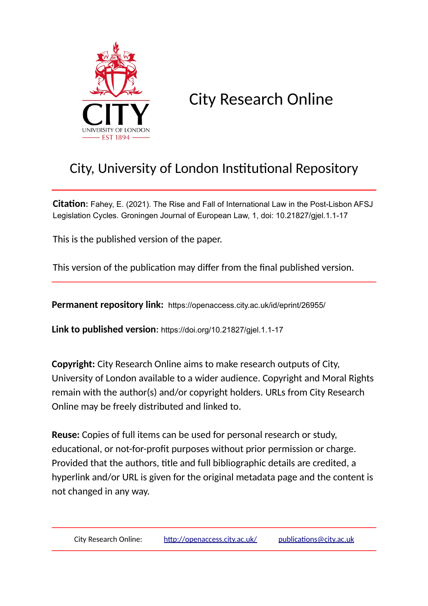

# City Research Online

## City, University of London Institutional Repository

**Citation**: Fahey, E. (2021). The Rise and Fall of International Law in the Post-Lisbon AFSJ Legislation Cycles. Groningen Journal of European Law, 1, doi: 10.21827/gjel.1.1-17

This is the published version of the paper.

This version of the publication may differ from the final published version.

**Permanent repository link:** https://openaccess.city.ac.uk/id/eprint/26955/

**Link to published version**: https://doi.org/10.21827/gjel.1.1-17

**Copyright:** City Research Online aims to make research outputs of City, University of London available to a wider audience. Copyright and Moral Rights remain with the author(s) and/or copyright holders. URLs from City Research Online may be freely distributed and linked to.

**Reuse:** Copies of full items can be used for personal research or study, educational, or not-for-profit purposes without prior permission or charge. Provided that the authors, title and full bibliographic details are credited, a hyperlink and/or URL is given for the original metadata page and the content is not changed in any way.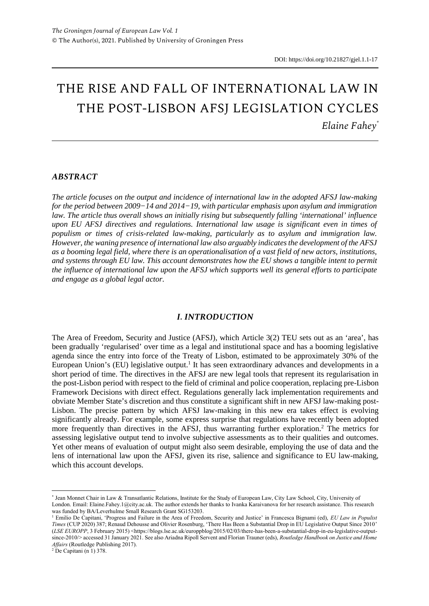## THE RISE AND FALL OF INTERNATIONAL LAW IN THE POST-LISBON AFSJ LEGISLATION CYCLES *Elaine Fahey\**

#### *ABSTRACT*

*The article focuses on the output and incidence of international law in the adopted AFSJ law-making for the period between 2009−14 and 2014−19, with particular emphasis upon asylum and immigration law. The article thus overall shows an initially rising but subsequently falling 'international' influence upon EU AFSJ directives and regulations. International law usage is significant even in times of populism or times of crisis-related law-making, particularly as to asylum and immigration law. However, the waning presence of international law also arguably indicates the development of the AFSJ as a booming legal field, where there is an operationalisation of a vast field of new actors, institutions, and systems through EU law. This account demonstrates how the EU shows a tangible intent to permit the influence of international law upon the AFSJ which supports well its general efforts to participate and engage as a global legal actor.*

#### *I. INTRODUCTION*

The Area of Freedom, Security and Justice (AFSJ), which Article 3(2) TEU sets out as an 'area', has been gradually 'regularised' over time as a legal and institutional space and has a booming legislative agenda since the entry into force of the Treaty of Lisbon, estimated to be approximately 30% of the European Union's (EU) legislative output.<sup>1</sup> It has seen extraordinary advances and developments in a short period of time. The directives in the AFSJ are new legal tools that represent its regularisation in the post-Lisbon period with respect to the field of criminal and police cooperation, replacing pre-Lisbon Framework Decisions with direct effect. Regulations generally lack implementation requirements and obviate Member State's discretion and thus constitute a significant shift in new AFSJ law-making post-Lisbon. The precise pattern by which AFSJ law-making in this new era takes effect is evolving significantly already. For example, some express surprise that regulations have recently been adopted more frequently than directives in the AFSJ, thus warranting further exploration.<sup>2</sup> The metrics for assessing legislative output tend to involve subjective assessments as to their qualities and outcomes. Yet other means of evaluation of output might also seem desirable, employing the use of data and the lens of international law upon the AFSJ, given its rise, salience and significance to EU law-making, which this account develops.

 $2$  De Capitani (n 1) 378.

<sup>\*</sup> Jean Monnet Chair in Law & Transatlantic Relations, Institute for the Study of European Law, City Law School, City, University of London. Email: Elaine.Fahey.1@city.ac.uk. The author extends her thanks to Ivanka Karaivanova for her research assistance. This research was funded by BA/Leverhulme Small Research Grant SG153203.

<sup>&</sup>lt;sup>1</sup> Emilio De Capitani, 'Progress and Failure in the Area of Freedom, Security and Justice' in Francesca Bignami (ed), *EU Law in Populist Times* (CUP 2020) 387; Renaud Dehousse and Olivier Rosenburg, 'There Has Been a Substantial Drop in EU Legislative Output Since 2010' (*LSE EUROPP*, 3 February 2015) <https://blogs.lse.ac.uk/europpblog/2015/02/03/there-has-been-a-substantial-drop-in-eu-legislative-outputsince-2010/> accessed 31 January 2021. See also Ariadna Ripoll Servent and Florian Trauner (eds), *Routledge Handbook on Justice and Home Affairs* (Routledge Publishing 2017).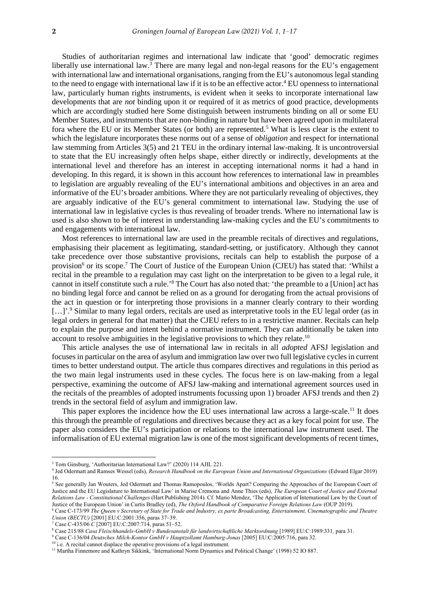Studies of authoritarian regimes and international law indicate that 'good' democratic regimes liberally use international law. $3$  There are many legal and non-legal reasons for the EU's engagement with international law and international organisations, ranging from the EU's autonomous legal standing to the need to engage with international law if it is to be an effective actor.<sup>4</sup> EU openness to international law, particularly human rights instruments, is evident when it seeks to incorporate international law developments that are *not* binding upon it or required of it as metrics of good practice, developments which are accordingly studied here Some distinguish between instruments binding on all or some EU Member States, and instruments that are non-binding in nature but have been agreed upon in multilateral fora where the EU or its Member States (or both) are represented.<sup>5</sup> What is less clear is the extent to which the legislature incorporates these norms out of a sense of *obligation* and respect for international law stemming from Articles 3(5) and 21 TEU in the ordinary internal law-making. It is uncontroversial to state that the EU increasingly often helps shape, either directly or indirectly, developments at the international level and therefore has an interest in accepting international norms it had a hand in developing. In this regard, it is shown in this account how references to international law in preambles to legislation are arguably revealing of the EU's international ambitions and objectives in an area and informative of the EU's broader ambitions. Where they are not particularly revealing of objectives, they are arguably indicative of the EU's general commitment to international law. Studying the use of international law in legislative cycles is thus revealing of broader trends. Where no international law is used is also shown to be of interest in understanding law-making cycles and the EU's commitments to and engagements with international law.

Most references to international law are used in the preamble recitals of directives and regulations, emphasising their placement as legitimating, standard-setting, or justificatory. Although they cannot take precedence over those substantive provisions, recitals can help to establish the purpose of a provision<sup>6</sup> or its scope.<sup>7</sup> The Court of Justice of the European Union (CJEU) has stated that: 'Whilst a recital in the preamble to a regulation may cast light on the interpretation to be given to a legal rule, it cannot in itself constitute such a rule.'<sup>8</sup> The Court has also noted that: 'the preamble to a [Union] act has no binding legal force and cannot be relied on as a ground for derogating from the actual provisions of the act in question or for interpreting those provisions in a manner clearly contrary to their wording [...]'.<sup>9</sup> Similar to many legal orders, recitals are used as interpretative tools in the EU legal order (as in legal orders in general for that matter) that the CJEU refers to in a restrictive manner. Recitals can help to explain the purpose and intent behind a normative instrument. They can additionally be taken into account to resolve ambiguities in the legislative provisions to which they relate.<sup>10</sup>

This article analyses the use of international law in recitals in all *adopted* AFSJ legislation and focuses in particular on the area of asylum and immigration law over two full legislative cycles in current times to better understand output. The article thus compares directives and regulations in this period as the two main legal instruments used in these cycles. The focus here is on law-making from a legal perspective, examining the outcome of AFSJ law-making and international agreement sources used in the recitals of the preambles of adopted instruments focussing upon 1) broader AFSJ trends and then 2) trends in the sectoral field of asylum and immigration law.

This paper explores the incidence how the EU uses international law across a large-scale.<sup>11</sup> It does this through the preamble of regulations and directives because they act as a key focal point for use. The paper also considers the EU's participation or relations to the international law instrument used. The informalisation of EU external migration law is one of the most significant developments of recent times,

<sup>&</sup>lt;sup>3</sup> Tom Ginsburg, 'Authoritarian International Law?' (2020) 114 AJIL 221.

<sup>4</sup> Jed Odermatt and Ramses Wessel (eds), *Research Handbook on the European Union and International Organizations* (Edward Elgar 2019) 16.

<sup>&</sup>lt;sup>5</sup> See generally Jan Wouters, Jed Odermatt and Thomas Ramopoulos, 'Worlds Apart? Comparing the Approaches of the European Court of Justice and the EU Legislature to International Law' in Marise Cremona and Anne Thies (eds), *The European Court of Justice and External Relations Law - Constitutional Challenges* (Hart Publishing 2014). Cf. Mario Mendez, 'The Application of International Law by the Court of Justice of the European Union' in Curtis Bradley (ed), *The Oxford Handbook of Comparative Foreign Relations Law* (OUP 2019).

<sup>6</sup> Case C-173/99 *The Queen v Secretary of State for Trade and Industry, ex parte Broadcasting, Entertainment, Cinematographic and Theatre Union (BECTU)* [2001] EU:C:2001:356, paras 37–39.

<sup>7</sup> Case C-435/06 *C* [2007] EU:C:2007:714, paras 51⎼52.

<sup>8</sup> Case 215/88 *Casa Fleischhandels-GmbH v Bundesanstalt für landwirtschaftliche Marktordnung* [1989] EU:C:1989:331*,* para 31.

<sup>9</sup> Case C-136/04 *Deutsches Milch-Kontor GmbH v Hauptzollamt Hamburg-Jonas* [2005] EU:C:2005:716, para 32.

<sup>&</sup>lt;sup>10</sup> i.e. A recital cannot displace the operative provisions of a legal instrument.

<sup>&</sup>lt;sup>11</sup> Martha Finnemore and Kathryn Sikkink, 'International Norm Dynamics and Political Change' (1998) 52 IO 887.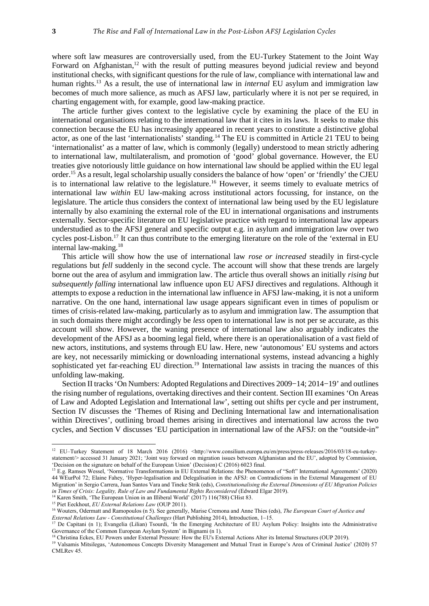where soft law measures are controversially used, from the EU-Turkey Statement to the Joint Way Forward on Afghanistan,<sup>12</sup> with the result of putting measures beyond judicial review and beyond institutional checks, with significant questions for the rule of law, compliance with international law and human rights.<sup>13</sup> As a result, the use of international law in *internal* EU asylum and immigration law becomes of much more salience, as much as AFSJ law, particularly where it is not per se required, in charting engagement with, for example, good law-making practice.

The article further gives context to the legislative cycle by examining the place of the EU in international organisations relating to the international law that it cites in its laws. It seeks to make this connection because the EU has increasingly appeared in recent years to constitute a distinctive global actor, as one of the last 'internationalists' standing.<sup>14</sup> The EU is committed in Article 21 TEU to being 'internationalist' as a matter of law, which is commonly (legally) understood to mean strictly adhering to international law, multilateralism, and promotion of 'good' global governance. However, the EU treaties give notoriously little guidance on how international law should be applied within the EU legal order.<sup>15</sup> As a result, legal scholarship usually considers the balance of how 'open' or 'friendly' the CJEU is to international law relative to the legislature.<sup>16</sup> However, it seems timely to evaluate metrics of international law *within* EU law-making across institutional actors focussing, for instance, on the legislature. The article thus considers the context of international law being used by the EU legislature internally by also examining the external role of the EU in international organisations and instruments externally. Sector-specific literature on EU legislative practice with regard to international law appears understudied as to the AFSJ general and specific output e.g. in asylum and immigration law over two cycles post-Lisbon.<sup>17</sup> It can thus contribute to the emerging literature on the role of the 'external in EU internal law-making.<sup>18</sup>

This article will show how the use of international law *rose or increased* steadily in first-cycle regulations but *fell* suddenly in the second cycle. The account will show that these trends are largely borne out the area of asylum and immigration law. The article thus overall shows an initially *rising but subsequently falling* international law influence upon EU AFSJ directives and regulations. Although it attempts to expose a reduction in the international law influence in AFSJ law-making, it is not a uniform narrative. On the one hand, international law usage appears significant even in times of populism or times of crisis-related law-making, particularly as to asylum and immigration law. The assumption that in such domains there might accordingly be *less* open to international law is not per se accurate, as this account will show. However, the waning presence of international law also arguably indicates the development of the AFSJ as a booming legal field, where there is an operationalisation of a vast field of new actors, institutions, and systems through EU law. Here, new 'autonomous' EU systems and actors are key, not necessarily mimicking or downloading international systems, instead advancing a highly sophisticated yet far-reaching EU direction.<sup>19</sup> International law assists in tracing the nuances of this unfolding law-making.

Section II tracks 'On Numbers: Adopted Regulations and Directives 2009−14; 2014−19' and outlines the rising number of regulations, overtaking directives and their content. Section III examines 'On Areas of Law and Adopted Legislation and International law', setting out shifts per cycle and per instrument, Section IV discusses the 'Themes of Rising and Declining International law and internationalisation within Directives', outlining broad themes arising in directives and international law across the two cycles, and Section V discusses 'EU participation in international law of the AFSJ: on the "outside-in"

<sup>1</sup> <sup>12</sup> EU–Turkey Statement of 18 March 2016 (2016) <http://www.consilium.europa.eu/en/press/press-releases/2016/03/18-eu-turkeystatement/> accessed 31 January 2021; 'Joint way forward on migration issues between Afghanistan and the EU', adopted by Commission, 'Decision on the signature on behalf of the European Union' (Decision) C (2016) 6023 final.

<sup>13</sup> E.g. Ramses Wessel, 'Normative Transformations in EU External Relations: the Phenomenon of "Soft" International Agreements' (2020) 44 WEurPol 72; Elaine Fahey, 'Hyper-legalisation and Delegalisation in the AFSJ: on Contradictions in the External Management of EU Migration' in Sergio Carrera, Juan Santos Vara and Tineke Strik (eds), *Constitutionalising the External Dimensions of EU Migration Policies*  in Times of Crisis: Legality, Rule of Law and Fundamental Rights Reconsidered (Edward Elgar 2019).

 $4$  Karen Smith, 'The European Union in an Illiberal World' (2017) 116(788) CHist 83.

<sup>&</sup>lt;sup>15</sup> Piet Eeckhout, *EU External Relations Law* (OUP 2011).

<sup>16</sup> Wouters, Odermatt and Ramopoulos (n 5). See generally, Marise Cremona and Anne Thies (eds), *The European Court of Justice and* 

*External Relations Law - Constitutional Challenges* (Hart Publishing 2014), Introduction, 1⎼15.

<sup>&</sup>lt;sup>17</sup> De Capitani (n 1); Evangelia (Lilian) Tsourdi, 'In the Emerging Architecture of EU Asylum Policy: Insights into the Administrative Governance of the Common European Asylum System' in Bignami (n 1).

<sup>18</sup> Christina Eckes, EU Powers under External Pressure: How the EU's External Actions Alter its Internal Structures (OUP 2019).

<sup>&</sup>lt;sup>19</sup> Valsamis Mitsilegas, 'Autonomous Concepts Diversity Management and Mutual Trust in Europe's Area of Criminal Justice' (2020) 57 CMLRev 45.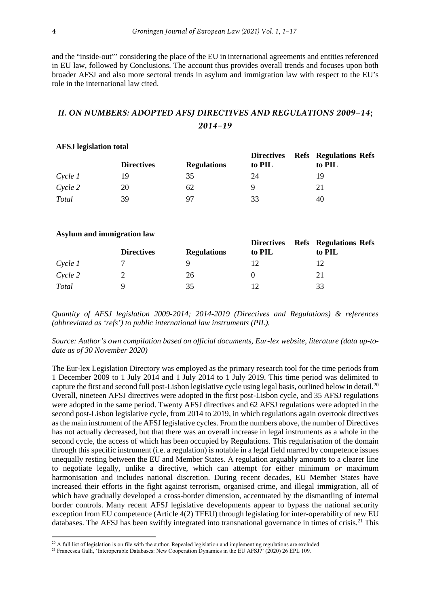and the "inside-out"' considering the place of the EU in international agreements and entities referenced in EU law, followed by Conclusions. The account thus provides overall trends and focuses upon both broader AFSJ and also more sectoral trends in asylum and immigration law with respect to the EU's role in the international law cited.

## *II. ON NUMBERS: ADOPTED AFSJ DIRECTIVES AND REGULATIONS 2009−14; 2014−19*

| <i>THE OD TEMPLOID COLUM</i> |                   |                    |                             |                                        |  |  |  |
|------------------------------|-------------------|--------------------|-----------------------------|----------------------------------------|--|--|--|
|                              | <b>Directives</b> | <b>Regulations</b> | <b>Directives</b><br>to PIL | <b>Refs</b> Regulations Refs<br>to PIL |  |  |  |
| Cycle 1                      | 19                | 35                 | 24                          | 19                                     |  |  |  |
| Cycle 2                      | 20                | 62                 | 9                           | 21                                     |  |  |  |
| Total                        | 39                | 97                 | 33                          | 40                                     |  |  |  |

### **AFSJ legislation total**

#### **Asylum and immigration law**

|         | <b>Directives</b> | <b>Regulations</b> | <b>Directives Refs Regulations Refs</b><br>to PIL | to PIL |
|---------|-------------------|--------------------|---------------------------------------------------|--------|
| Cycle 1 |                   | Q                  |                                                   |        |
| Cycle 2 |                   | 26                 |                                                   | 21     |
| Total   | Q                 | 35                 |                                                   | 33     |

*Quantity of AFSJ legislation 2009-2014; 2014-2019 (Directives and Regulations) & references (abbreviated as 'refs') to public international law instruments (PIL).*

*Source: Author's own compilation based on official documents, Eur-lex website, literature (data up-todate as of 30 November 2020)*

The Eur-lex Legislation Directory was employed as the primary research tool for the time periods from 1 December 2009 to 1 July 2014 and 1 July 2014 to 1 July 2019. This time period was delimited to capture the first and second full post-Lisbon legislative cycle using legal basis, outlined below in detail.<sup>20</sup> Overall, nineteen AFSJ directives were adopted in the first post-Lisbon cycle, and 35 AFSJ regulations were adopted in the same period. Twenty AFSJ directives and 62 AFSJ regulations were adopted in the second post-Lisbon legislative cycle, from 2014 to 2019, in which regulations again overtook directives as the main instrument of the AFSJ legislative cycles. From the numbers above, the number of Directives has not actually decreased, but that there was an overall increase in legal instruments as a whole in the second cycle, the access of which has been occupied by Regulations. This regularisation of the domain through this specific instrument (i.e. a regulation) is notable in a legal field marred by competence issues unequally resting between the EU and Member States. A regulation arguably amounts to a clearer line to negotiate legally, unlike a directive, which can attempt for either minimum *or* maximum harmonisation and includes national discretion. During recent decades, EU Member States have increased their efforts in the fight against terrorism, organised crime, and illegal immigration, all of which have gradually developed a cross-border dimension, accentuated by the dismantling of internal border controls. Many recent AFSJ legislative developments appear to bypass the national security exception from EU competence (Article 4(2) TFEU) through legislating for inter-operability of new EU databases. The AFSJ has been swiftly integrated into transnational governance in times of crisis.<sup>21</sup> This

 $^{20}$  A full list of legislation is on file with the author. Repealed legislation and implementing regulations are excluded.

<sup>&</sup>lt;sup>21</sup> Francesca Galli, 'Interoperable Databases: New Cooperation Dynamics in the EU AFSJ?' (2020) 26 EPL 109.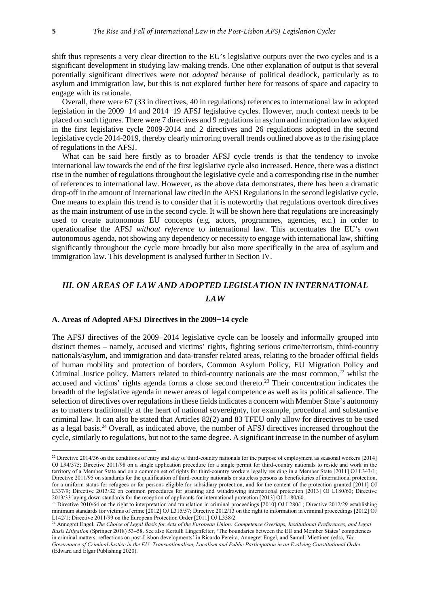shift thus represents a very clear direction to the EU's legislative outputs over the two cycles and is a significant development in studying law-making trends. One other explanation of output is that several potentially significant directives were not *adopted* because of political deadlock, particularly as to asylum and immigration law, but this is not explored further here for reasons of space and capacity to engage with its rationale.

Overall, there were 67 (33 in directives, 40 in regulations) references to international law in adopted legislation in the 2009−14 and 2014−19 AFSJ legislative cycles. However, much context needs to be placed on such figures. There were 7 directives and 9 regulations in asylum and immigration law adopted in the first legislative cycle 2009-2014 and 2 directives and 26 regulations adopted in the second legislative cycle 2014-2019, thereby clearly mirroring overall trends outlined above as to the rising place of regulations in the AFSJ.

What can be said here firstly as to broader AFSJ cycle trends is that the tendency to invoke international law towards the end of the first legislative cycle also increased. Hence, there was a distinct rise in the number of regulations throughout the legislative cycle and a corresponding rise in the number of references to international law. However, as the above data demonstrates, there has been a dramatic drop-off in the amount of international law cited in the AFSJ Regulations in the second legislative cycle. One means to explain this trend is to consider that it is noteworthy that regulations overtook directives as the main instrument of use in the second cycle. It will be shown here that regulations are increasingly used to create autonomous EU concepts (e.g. actors, programmes, agencies, etc.) in order to operationalise the AFSJ *without reference* to international law. This accentuates the EU's own autonomous agenda, not showing any dependency or necessity to engage with international law, shifting significantly throughout the cycle more broadly but also more specifically in the area of asylum and immigration law. This development is analysed further in Section IV.

## *III. ON AREAS OF LAW AND ADOPTED LEGISLATION IN INTERNATIONAL LAW*

#### **A. Areas of Adopted AFSJ Directives in the 2009−14 cycle**

The AFSJ directives of the 2009−2014 legislative cycle can be loosely and informally grouped into distinct themes – namely, accused and victims' rights, fighting serious crime/terrorism, third-country nationals/asylum, and immigration and data-transfer related areas, relating to the broader official fields of human mobility and protection of borders, Common Asylum Policy, EU Migration Policy and Criminal Justice policy. Matters related to third-country nationals are the most common,<sup>22</sup> whilst the accused and victims' rights agenda forms a close second thereto.<sup>23</sup> Their concentration indicates the breadth of the legislative agenda in newer areas of legal competence as well as its political salience. The selection of directives over regulations in these fields indicates a concern with Member State's autonomy as to matters traditionally at the heart of national sovereignty, for example, procedural and substantive criminal law. It can also be stated that Articles 82(2) and 83 TFEU only allow for directives to be used as a legal basis.<sup>24</sup> Overall, as indicated above, the number of AFSJ directives increased throughout the cycle, similarly to regulations, but not to the same degree. A significant increase in the number of asylum

<sup>&</sup>lt;sup>22</sup> Directive 2014/36 on the conditions of entry and stay of third-country nationals for the purpose of employment as seasonal workers [2014] OJ L94/375; Directive 2011/98 on a single application procedure for a single permit for third-country nationals to reside and work in the territory of a Member State and on a common set of rights for third-country workers legally residing in a Member State [2011] OJ L343/1; Directive 2011/95 on standards for the qualification of third-country nationals or stateless persons as beneficiaries of international protection, for a uniform status for refugees or for persons eligible for subsidiary protection, and for the content of the protection granted [2011] OJ L337/9; Directive 2013/32 on common procedures for granting and withdrawing international protection [2013] OJ L180/60; Directive 2013/33 laying down standards for the reception of applicants for international protection [2013] OJ L180/60.

<sup>&</sup>lt;sup>23</sup> Directive 2010/64 on the right to interpretation and translation in criminal proceedings [2010] OJ L280/1; Directive 2012/29 establishing minimum standards for victims of crime [2012] OJ L315/57; Directive 2012/13 on the right to information in criminal proceedings [2012] OJ L142/1; Directive 2011/99 on the European Protection Order [2011] OJ L338/2.

<sup>24</sup> Annegret Engel, *The Choice of Legal Basis for Acts of the European Union: Competence Overlaps, Institutional Preferences, and Legal Basis Litigation* (Springer 2018) 53–58. See also Kertulli Lingenfelter, 'The boundaries between the EU and Member States' competences in criminal matters: reflections on post-Lisbon developments' in Ricardo Pereira, Annegret Engel, and Samuli Miettinen (eds), *The Governance of Criminal Justice in the EU: Transnationalism, Localism and Public Participation in an Evolving Constitutional Order* (Edward and Elgar Publishing 2020).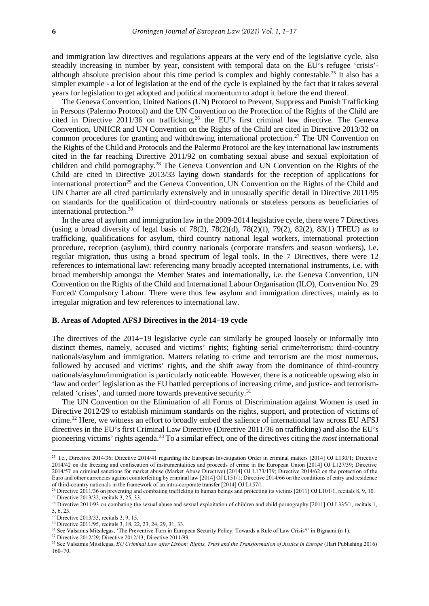and immigration law directives and regulations appears at the very end of the legislative cycle, also steadily increasing in number by year, consistent with temporal data on the EU's refugee 'crisis' although absolute precision about this time period is complex and highly contestable.<sup>25</sup> It also has a simpler example - a lot of legislation at the end of the cycle is explained by the fact that it takes several years for legislation to get adopted and political momentum to adopt it before the end thereof.

The Geneva Convention, United Nations (UN) Protocol to Prevent, Suppress and Punish Trafficking in Persons (Palermo Protocol) and the UN Convention on the Protection of the Rights of the Child are cited in Directive 2011/36 on trafficking,  $26$  the EU's first criminal law directive. The Geneva Convention, UNHCR and UN Convention on the Rights of the Child are cited in Directive 2013/32 on common procedures for granting and withdrawing international protection.<sup>27</sup> The UN Convention on the Rights of the Child and Protocols and the Palermo Protocol are the key international law instruments cited in the far reaching Directive 2011/92 on combating sexual abuse and sexual exploitation of children and child pornography.<sup>28</sup> The Geneva Convention and UN Convention on the Rights of the Child are cited in Directive 2013/33 laying down standards for the reception of applications for international protection<sup>29</sup> and the Geneva Convention, UN Convention on the Rights of the Child and UN Charter are all cited particularly extensively and in unusually specific detail in Directive 2011/95 on standards for the qualification of third-country nationals or stateless persons as beneficiaries of international protection.<sup>30</sup>

In the area of asylum and immigration law in the 2009-2014 legislative cycle, there were 7 Directives (using a broad diversity of legal basis of  $78(2)$ ,  $78(2)(d)$ ,  $78(2)(f)$ ,  $79(2)$ ,  $82(2)$ ,  $83(1)$  TFEU) as to trafficking, qualifications for asylum, third country national legal workers, international protection procedure, reception (asylum), third country nationals (corporate transfers and season workers), i.e. regular migration, thus using a broad spectrum of legal tools. In the 7 Directives, there were 12 references to international law: referencing many broadly accepted international instruments, i.e. with broad membership amongst the Member States and internationally, i.e. the Geneva Convention, UN Convention on the Rights of the Child and International Labour Organisation (ILO), Convention No. 29 Forced/ Compulsory Labour. There were thus few asylum and immigration directives, mainly as to irregular migration and few references to international law.

#### **B. Areas of Adopted AFSJ Directives in the 2014−19 cycle**

The directives of the 2014−19 legislative cycle can similarly be grouped loosely or informally into distinct themes, namely, accused and victims' rights; fighting serial crime/terrorism; third-country nationals/asylum and immigration. Matters relating to crime and terrorism are the most numerous, followed by accused and victims' rights, and the shift away from the dominance of third-country nationals/asylum/immigration is particularly noticeable. However, there is a noticeable upswing also in 'law and order' legislation as the EU battled perceptions of increasing crime, and justice- and terrorismrelated 'crises', and turned more towards preventive security.<sup>31</sup>

The UN Convention on the Elimination of all Forms of Discrimination against Women is used in Directive 2012/29 to establish minimum standards on the rights, support, and protection of victims of crime.<sup>32</sup> Here, we witness an effort to broadly embed the salience of international law across EU AFSJ directives in the EU's first Criminal Law Directive (Directive 2011/36 on trafficking) and also the EU's pioneering victims' rights agenda.<sup>33</sup> To a similar effect, one of the directives citing the *most* international

<sup>32</sup> Directive 2012/29; Directive 2012/13; Directive 2011/99.

 25. I.e., Directive 2014/36; Directive 2014/41 regarding the European Investigation Order in criminal matters [2014] OJ L130/1; Directive 2014/42 on the freezing and confiscation of instrumentalities and proceeds of crime in the European Union [2014] OJ L127/39; Directive 2014/57 on criminal sanctions for market abuse (Market Abuse Directive) [2014] OJ L173/179; Directive 2014/62 on the protection of the Euro and other currencies against counterfeiting by criminal law [2014] OJ L151/1; Directive 2014/66 on the conditions of entry and residence of third-country nationals in the framework of an intra-corporate transfer [2014] OJ L157/1.

<sup>&</sup>lt;sup>26</sup> Directive 2011/36 on preventing and combating trafficking in human beings and protecting its victims [2011] OJ L101/1, recitals 8, 9, 10. <sup>27</sup> Directive 2013/32, recitals 3, 25, 33.

<sup>&</sup>lt;sup>28</sup> Directive 2011/93 on combating the sexual abuse and sexual exploitation of children and child pornography [2011] OJ L335/1, recitals 1, 5, 6, 23.

 $29$  Directive 2013/33, recitals 3, 9, 15.

<sup>&</sup>lt;sup>30</sup> Directive 2011/95, recitals 3, 18, 22, 23, 24, 29, 31, 33.

<sup>&</sup>lt;sup>31</sup> See Valsamis Mitsilegas, 'The Preventive Turn in European Security Policy: Towards a Rule of Law Crisis?' in Bignami (n 1).

<sup>&</sup>lt;sup>33</sup> See Valsamis Mitsilegas, *EU Criminal Law after Lisbon: Rights, Trust and the Transformation of Justice in Europe* (Hart Publishing 2016) 160⎼70.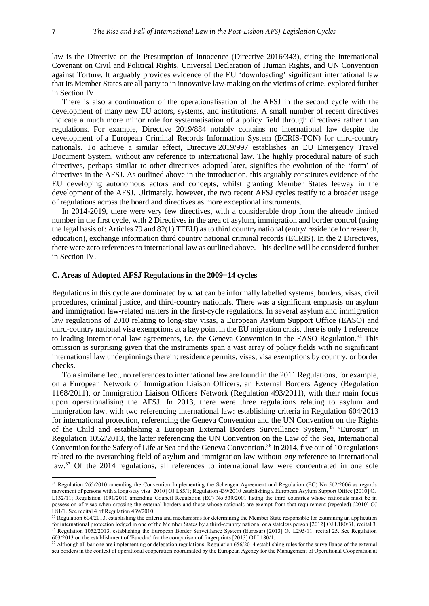law is the Directive on the Presumption of Innocence (Directive 2016/343), citing the International Covenant on Civil and Political Rights, Universal Declaration of Human Rights, and UN Convention against Torture. It arguably provides evidence of the EU 'downloading' significant international law that its Member States are all party to in innovative law-making on the victims of crime, explored further in Section IV.

There is also a continuation of the operationalisation of the AFSJ in the second cycle with the development of many new EU actors, systems, and institutions. A small number of recent directives indicate a much more minor role for systematisation of a policy field through directives rather than regulations. For example, Directive 2019/884 notably contains no international law despite the development of a European Criminal Records Information System (ECRIS-TCN) for third-country nationals. To achieve a similar effect, Directive 2019/997 establishes an EU Emergency Travel Document System, without any reference to international law. The highly procedural nature of such directives, perhaps similar to other directives adopted later, signifies the evolution of the 'form' of directives in the AFSJ. As outlined above in the introduction, this arguably constitutes evidence of the EU developing autonomous actors and concepts, whilst granting Member States leeway in the development of the AFSJ. Ultimately, however, the two recent AFSJ cycles testify to a broader usage of regulations across the board and directives as more exceptional instruments.

In 2014-2019, there were very few directives, with a considerable drop from the already limited number in the first cycle, with 2 Directives in the area of asylum, immigration and border control (using the legal basis of: Articles 79 and 82(1) TFEU) as to third country national (entry/ residence for research, education), exchange information third country national criminal records (ECRIS). In the 2 Directives, there were zero references to international law as outlined above. This decline will be considered further in Section IV.

#### **C. Areas of Adopted AFSJ Regulations in the 2009−14 cycles**

Regulations in this cycle are dominated by what can be informally labelled systems, borders, visas, civil procedures, criminal justice, and third-country nationals. There was a significant emphasis on asylum and immigration law-related matters in the first-cycle regulations. In several asylum and immigration law regulations of 2010 relating to long-stay visas, a European Asylum Support Office (EASO) and third-country national visa exemptions at a key point in the EU migration crisis, there is only 1 reference to leading international law agreements, i.e. the Geneva Convention in the EASO Regulation.<sup>34</sup> This omission is surprising given that the instruments span a vast array of policy fields with no significant international law underpinnings therein: residence permits, visas, visa exemptions by country, or border checks.

To a similar effect, no references to international law are found in the 2011 Regulations, for example, on a European Network of Immigration Liaison Officers, an External Borders Agency (Regulation 1168/2011), or Immigration Liaison Officers Network (Regulation 493/2011), with their main focus upon operationalising the AFSJ. In 2013, there were three regulations relating to asylum and immigration law, with two referencing international law: establishing criteria in Regulation 604/2013 for international protection, referencing the Geneva Convention and the UN Convention on the Rights of the Child and establishing a European External Borders Surveillance System,<sup>35</sup> 'Eurosur' in Regulation 1052/2013, the latter referencing the UN Convention on the Law of the Sea, International Convention for the Safety of Life at Sea and the Geneva Convention.<sup>36</sup> In 2014, five out of 10 regulations related to the overarching field of asylum and immigration law without *any* reference to international law.<sup>37</sup> Of the 2014 regulations, all references to international law were concentrated in one sole

<sup>&</sup>lt;sup>34</sup> Regulation 265/2010 amending the Convention Implementing the Schengen Agreement and Regulation (EC) No 562/2006 as regards movement of persons with a long-stay visa [2010] OJ L85/1; Regulation 439/2010 establishing a European Asylum Support Office [2010] OJ L132/11; Regulation 1091/2010 amending Council Regulation (EC) No 539/2001 listing the third countries whose nationals must be in possession of visas when crossing the external borders and those whose nationals are exempt from that requirement (repealed) [2010] OJ L81/1. See recital 4 of Regulation 439/2010.

<sup>&</sup>lt;sup>35</sup> Regulation 604/2013, establishing the criteria and mechanisms for determining the Member State responsible for examining an application for international protection lodged in one of the Member States by a third-country national or a stateless person [2012] OJ L180/31, recital 3. <sup>36</sup> Regulation 1052/2013, establishing the European Border Surveillance System (Eurosur) [2013] OJ L295/11, recital 25. See Regulation 603/2013 on the establishment of 'Eurodac' for the comparison of fingerprints [2013] OJ L180/1.

<sup>&</sup>lt;sup>37</sup> Although all bar one are implementing or delegation regulations: Regulation 656/2014 establishing rules for the surveillance of the external sea borders in the context of operational cooperation coordinated by the European Agency for the Management of Operational Cooperation at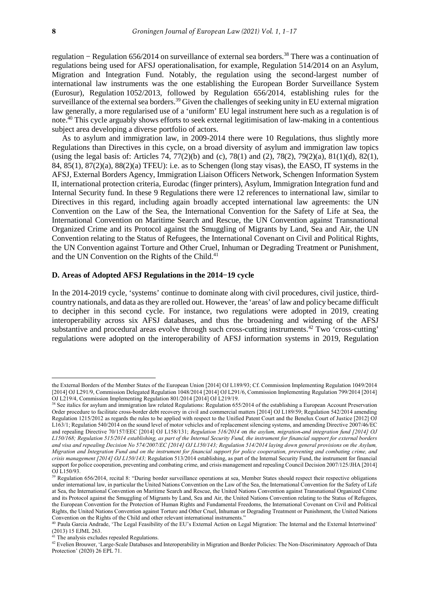regulation – Regulation 656/2014 on surveillance of external sea borders.<sup>38</sup> There was a continuation of regulations being used for AFSJ operationalisation, for example, Regulation 514/2014 on an Asylum, Migration and Integration Fund. Notably, the regulation using the second-largest number of international law instruments was the one establishing the European Border Surveillance System (Eurosur), Regulation 1052/2013, followed by Regulation 656/2014, establishing rules for the surveillance of the external sea borders.<sup>39</sup> Given the challenges of seeking unity in EU external migration law generally, a more regularised use of a 'uniform' EU legal instrument here such as a regulation is of note.<sup>40</sup> This cycle arguably shows efforts to seek external legitimisation of law-making in a contentious subject area developing a diverse portfolio of actors.

As to asylum and immigration law, in 2009-2014 there were 10 Regulations, thus slightly more Regulations than Directives in this cycle, on a broad diversity of asylum and immigration law topics (using the legal basis of: Articles 74, 77(2)(b) and (c), 78(1) and (2), 78(2), 79(2)(a), 81(1)(d), 82(1), 84, 85(1), 87(2)(a), 88(2)(a) TFEU): i.e. as to Schengen (long stay visas), the EASO, IT systems in the AFSJ, External Borders Agency, Immigration Liaison Officers Network, Schengen Information System II, international protection criteria, Eurodac (finger printers), Asylum, Immigration Integration fund and Internal Security fund. In these 9 Regulations there were 12 references to international law, similar to Directives in this regard, including again broadly accepted international law agreements: the UN Convention on the Law of the Sea, the International Convention for the Safety of Life at Sea, the International Convention on Maritime Search and Rescue, the UN Convention against Transnational Organized Crime and its Protocol against the Smuggling of Migrants by Land, Sea and Air, the UN Convention relating to the Status of Refugees, the International Covenant on Civil and Political Rights, the UN Convention against Torture and Other Cruel, Inhuman or Degrading Treatment or Punishment, and the UN Convention on the Rights of the Child.<sup>41</sup>

#### **D. Areas of Adopted AFSJ Regulations in the 2014−19 cycle**

In the 2014-2019 cycle, 'systems' continue to dominate along with civil procedures, civil justice, thirdcountry nationals, and data as they are rolled out. However, the 'areas' of law and policy became difficult to decipher in this second cycle. For instance, two regulations were adopted in 2019, creating interoperability across six AFSJ databases, and thus the broadening and widening of the AFSJ substantive and procedural areas evolve through such cross-cutting instruments.<sup>42</sup> Two 'cross-cutting' regulations were adopted on the interoperability of AFSJ information systems in 2019, Regulation

the External Borders of the Member States of the European Union [2014] OJ L189/93; Cf. Commission Implementing Regulation 1049/2014 [2014] OJ L291/9, Commission Delegated Regulation 1048/2014 [2014] OJ L291/6, Commission Implementing Regulation 799/2014 [2014] OJ L219/4, Commission Implementing Regulation 801/2014 [2014] OJ L219/19.

<sup>&</sup>lt;sup>38</sup> See italics for asylum and immigration law related Regulations: Regulation 655/2014 of the establishing a European Account Preservation Order procedure to facilitate cross-border debt recovery in civil and commercial matters [2014] OJ L189/59; Regulation 542/2014 amending Regulation 1215/2012 as regards the rules to be applied with respect to the Unified Patent Court and the Benelux Court of Justice [2012] OJ L163/1; Regulation 540/2014 on the sound level of motor vehicles and of replacement silencing systems, and amending Directive 2007/46/EC and repealing Directive 70/157/EEC [2014] OJ L158/131; *Regulation 516/2014* on *the asylum, migration and integration fund [2014] OJ L150/168; Regulation 515/2014 establishing, as part of the Internal Security Fund, the instrument for financial support for external borders and visa and repealing Decision No 574/2007/EC [2014] OJ L150/143; Regulation 514/2014 laying down general provisions on the Asylum, Migration and Integration Fund and on the instrument for financial support for police cooperation, preventing and combating crime, and crisis management [2014] OJ L150/143;* Regulation 513/2014 establishing, as part of the Internal Security Fund, the instrument for financial support for police cooperation, preventing and combating crime, and crisis management and repealing Council Decision 2007/125/JHA [2014] OJ L150/93.

<sup>&</sup>lt;sup>39</sup> Regulation 656/2014, recital 8: "During border surveillance operations at sea, Member States should respect their respective obligations under international law, in particular the United Nations Convention on the Law of the Sea, the International Convention for the Safety of Life at Sea, the International Convention on Maritime Search and Rescue, the United Nations Convention against Transnational Organized Crime and its Protocol against the Smuggling of Migrants by Land, Sea and Air, the United Nations Convention relating to the Status of Refugees, the European Convention for the Protection of Human Rights and Fundamental Freedoms, the International Covenant on Civil and Political Rights, the United Nations Convention against Torture and Other Cruel, Inhuman or Degrading Treatment or Punishment, the United Nations Convention on the Rights of the Child and other relevant international instruments."

<sup>&</sup>lt;sup>40</sup> Paula Garcia Andrade, 'The Legal Feasibility of the EU's External Action on Legal Migration: The Internal and the External Intertwined' (2013) 15 EJML 263.

<sup>&</sup>lt;sup>41</sup> The analysis excludes repealed Regulations.

<sup>42</sup> Evelien Brouwer, 'Large-Scale Databases and Interoperability in Migration and Border Policies: The Non-Discriminatory Approach of Data Protection' (2020) 26 EPL 71.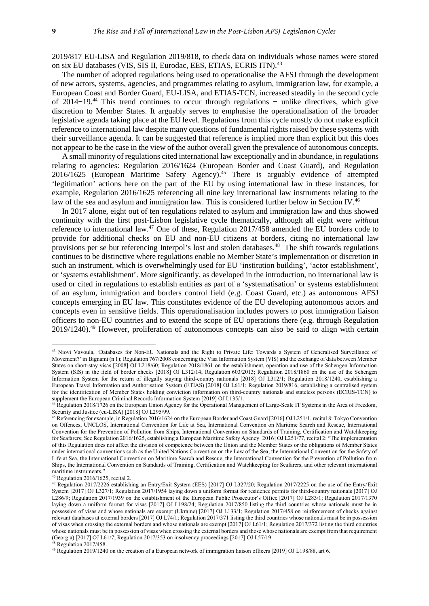2019/817 EU-LISA and Regulation 2019/818, to check data on individuals whose names were stored on six EU databases (VIS, SIS II, Eurodac, EES, ETIAS, ECRIS ITN).<sup>43</sup>

The number of adopted regulations being used to operationalise the AFSJ through the development of new actors, systems, agencies, and programmes relating to asylum, immigration law, for example, a European Coast and Border Guard, EU-LISA, and ETIAS-TCN, increased steadily in the second cycle of 2014−19.<sup>44</sup> This trend continues to occur through regulations − unlike directives, which give discretion to Member States. It arguably serves to emphasise the operationalisation of the broader legislative agenda taking place at the EU level. Regulations from this cycle mostly do not make explicit reference to international law despite many questions of fundamental rights raised by these systems with their surveillance agenda. It can be suggested that reference is implied more than explicit but this does not appear to be the case in the view of the author overall given the prevalence of autonomous concepts.

A small minority of regulations cited international law exceptionally and in abundance, in regulations relating to agencies: Regulation 2016/1624 (European Border and Coast Guard), and Regulation 2016/1625 (European Maritime Safety Agency).<sup>45</sup> There is arguably evidence of attempted 'legitimation' actions here on the part of the EU by using international law in these instances, for example, Regulation 2016/1625 referencing all nine key international law instruments relating to the law of the sea and asylum and immigration law. This is considered further below in Section IV.<sup>46</sup>

In 2017 alone, eight out of ten regulations related to asylum and immigration law and thus showed continuity with the first post-Lisbon legislative cycle thematically, although all eight were *without* reference to international law.<sup>47</sup> One of these, Regulation 2017/458 amended the EU borders code to provide for additional checks on EU and non-EU citizens at borders, citing no international law provisions per se but referencing Interpol's lost and stolen databases.<sup>48</sup> The shift towards regulations continues to be distinctive where regulations enable no Member State's implementation or discretion in such an instrument, which is overwhelmingly used for EU 'institution building', 'actor establishment', or 'systems establishment'. More significantly, as developed in the introduction, no international law is used or cited in regulations to establish entities as part of a 'systematisation' or systems establishment of an asylum, immigration and borders control field (e.g. Coast Guard, etc.) as autonomous AFSJ concepts emerging in EU law. This constitutes evidence of the EU developing autonomous actors and concepts even in sensitive fields. This operationalisation includes powers to post immigration liaison officers to non-EU countries and to extend the scope of EU operations there (e.g. through Regulation 2019/1240).<sup>49</sup> However, proliferation of autonomous concepts can also be said to align with certain

<sup>&</sup>lt;sup>43</sup> Niovi Vavoula, 'Databases for Non-EU Nationals and the Right to Private Life: Towards a System of Generalised Surveillance of Movement?' in Bignami (n 1); Regulation 767/2008 concerning the Visa Information System (VIS) and the exchange of data between Member States on short-stay visas [2008] OJ L218/60; Regulation 2018/1861 on the establishment, operation and use of the Schengen Information System (SIS) in the field of border checks [2018] OJ L312/14; Regulation 603/2013; Regulation 2018/1860 on the use of the Schengen Information System for the return of illegally staying third-country nationals [2018] OJ L312/1; Regulation 2018/1240, establishing a European Travel Information and Authorisation System (ETIAS) [2018] OJ L61/1; Regulation 2019/816, establishing a centralised system for the identification of Member States holding conviction information on third-country nationals and stateless persons (ECRIS-TCN) to supplement the European Criminal Records Information System [2019] OJ L135/1.

<sup>44</sup> Regulation 2018/1726 on the European Union Agency for the Operational Management of Large-Scale IT Systems in the Area of Freedom, Security and Justice (eu-LISA) [2018] OJ L295/99.

<sup>45</sup> Referencing for example, in Regulation 2016/1624 on the European Border and Coast Guard [2016] OJ L251/1, recital 8: Tokyo Convention on Offences, UNCLOS, International Convention for Life at Sea, International Convention on Maritime Search and Rescue, International Convention for the Prevention of Pollution from Ships, International Convention on Standards of Training, Certification and Watchkeeping for Seafarers; See Regulation 2016/1625, establishing a European Maritime Safety Agency [2016] OJ L251/77, recital 2: "The implementation of this Regulation does not affect the division of competence between the Union and the Member States or the obligations of Member States under international conventions such as the United Nations Convention on the Law of the Sea, the International Convention for the Safety of Life at Sea, the International Convention on Maritime Search and Rescue, the International Convention for the Prevention of Pollution from Ships, the International Convention on Standards of Training, Certification and Watchkeeping for Seafarers, and other relevant international maritime instruments."

<sup>46</sup> Regulation 2016/1625, recital 2.

<sup>47</sup> Regulation 2017/2226 establishing an Entry/Exit System (EES) [2017] OJ L327/20; Regulation 2017/2225 on the use of the Entry/Exit System [2017] OJ L327/1; Regulation 2017/1954 laying down a uniform format for residence permits for third-country nationals [2017] OJ L286/9; Regulation 2017/1939 on the establishment of the European Public Prosecutor's Office [2017] OJ L283/1; Regulation 2017/1370 laying down a uniform format for visas [2017] OJ L198/24; Regulation 2017/850 listing the third countries whose nationals must be in possession of visas and whose nationals are exempt (Ukraine) [2017] OJ L133/1; Regulation 2017/458 on reinforcement of checks against relevant databases at external borders [2017] OJ L74/1; Regulation 2017/371 listing the third countries whose nationals must be in possession of visas when crossing the external borders and whose nationals are exempt [2017] OJ L61/1; Regulation 2017/372 listing the third countries whose nationals must be in possession of visas when crossing the external borders and those whose nationals are exempt from that requirement (Georgia) [2017] OJ L61/7; Regulation 2017/353 on insolvency proceedings [2017] OJ L57/19. <sup>48</sup> Regulation 2017/458.

<sup>49</sup> Regulation 2019/1240 on the creation of a European network of immigration liaison officers [2019] OJ L198/88, art 6.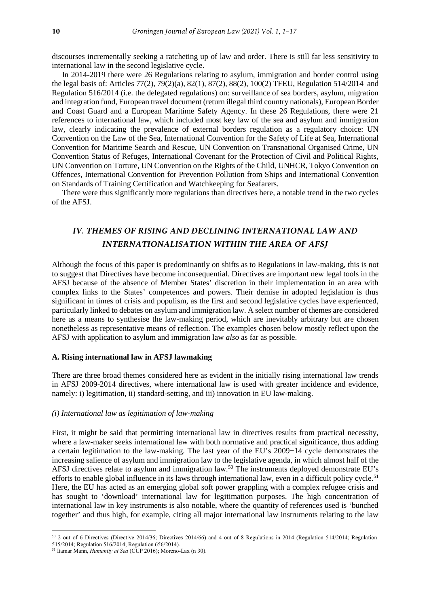discourses incrementally seeking a ratcheting up of law and order. There is still far less sensitivity to international law in the second legislative cycle.

In 2014-2019 there were 26 Regulations relating to asylum, immigration and border control using the legal basis of: Articles 77(2), 79(2)(a), 82(1), 87(2), 88(2), 100(2) TFEU, Regulation 514/2014 and Regulation 516/2014 (i.e. the delegated regulations) on: surveillance of sea borders, asylum, migration and integration fund, European travel document (return illegal third country nationals), European Border and Coast Guard and a European Maritime Safety Agency. In these 26 Regulations, there were 21 references to international law, which included most key law of the sea and asylum and immigration law, clearly indicating the prevalence of external borders regulation as a regulatory choice: UN Convention on the Law of the Sea, International Convention for the Safety of Life at Sea, International Convention for Maritime Search and Rescue, UN Convention on Transnational Organised Crime, UN Convention Status of Refuges, International Covenant for the Protection of Civil and Political Rights, UN Convention on Torture, UN Convention on the Rights of the Child, UNHCR, Tokyo Convention on Offences, International Convention for Prevention Pollution from Ships and International Convention on Standards of Training Certification and Watchkeeping for Seafarers.

There were thus significantly more regulations than directives here, a notable trend in the two cycles of the AFSJ.

## *IV. THEMES OF RISING AND DECLINING INTERNATIONAL LAW AND INTERNATIONALISATION WITHIN THE AREA OF AFSJ*

Although the focus of this paper is predominantly on shifts as to Regulations in law-making, this is not to suggest that Directives have become inconsequential. Directives are important new legal tools in the AFSJ because of the absence of Member States' discretion in their implementation in an area with complex links to the States' competences and powers. Their demise in adopted legislation is thus significant in times of crisis and populism, as the first and second legislative cycles have experienced, particularly linked to debates on asylum and immigration law. A select number of themes are considered here as a means to synthesise the law-making period, which are inevitably arbitrary but are chosen nonetheless as representative means of reflection. The examples chosen below mostly reflect upon the AFSJ with application to asylum and immigration law *also* as far as possible.

#### **A. Rising international law in AFSJ lawmaking**

There are three broad themes considered here as evident in the initially rising international law trends in AFSJ 2009-2014 directives, where international law is used with greater incidence and evidence, namely: i) legitimation, ii) standard-setting, and iii) innovation in EU law-making.

#### *(i) International law as legitimation of law-making*

First, it might be said that permitting international law in directives results from practical necessity, where a law-maker seeks international law with both normative and practical significance, thus adding a certain legitimation to the law-making. The last year of the EU's 2009−14 cycle demonstrates the increasing salience of asylum and immigration law to the legislative agenda, in which almost half of the AFSJ directives relate to asylum and immigration law.<sup>50</sup> The instruments deployed demonstrate EU's efforts to enable global influence in its laws through international law, even in a difficult policy cycle.<sup>51</sup> Here, the EU has acted as an emerging global soft power grappling with a complex refugee crisis and has sought to 'download' international law for legitimation purposes. The high concentration of international law in key instruments is also notable, where the quantity of references used is 'bunched together' and thus high, for example, citing all major international law instruments relating to the law

<sup>50</sup> 2 out of 6 Directives (Directive 2014/36; Directives 2014/66) and 4 out of 8 Regulations in 2014 (Regulation 514/2014; Regulation 515/2014; Regulation 516/2014; Regulation 656/2014).

<sup>51</sup> Itamar Mann, *Humanity at Sea* (CUP 2016); Moreno-Lax (n 30).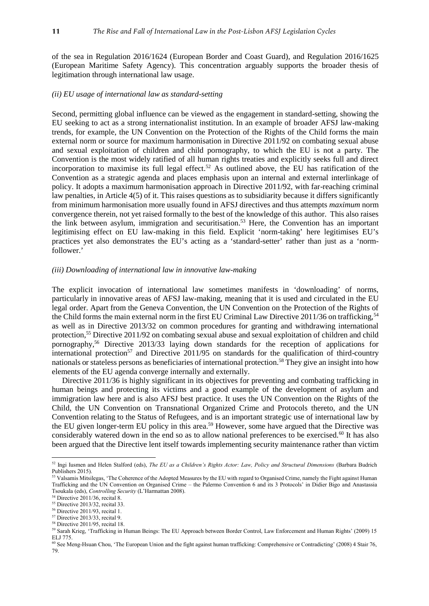of the sea in Regulation 2016/1624 (European Border and Coast Guard), and Regulation 2016/1625 (European Maritime Safety Agency). This concentration arguably supports the broader thesis of legitimation through international law usage.

#### *(ii) EU usage of international law as standard-setting*

Second, permitting global influence can be viewed as the engagement in standard-setting, showing the EU seeking to act as a strong internationalist institution. In an example of broader AFSJ law-making trends, for example, the UN Convention on the Protection of the Rights of the Child forms the main external norm or source for maximum harmonisation in Directive 2011/92 on combating sexual abuse and sexual exploitation of children and child pornography, to which the EU is not a party. The Convention is the most widely ratified of all human rights treaties and explicitly seeks full and direct incorporation to maximise its full legal effect.<sup>52</sup> As outlined above, the EU has ratification of the Convention as a strategic agenda and places emphasis upon an internal and external interlinkage of policy. It adopts a maximum harmonisation approach in Directive 2011/92, with far-reaching criminal law penalties, in Article 4(5) of it. This raises questions as to subsidiarity because it differs significantly from minimum harmonisation more usually found in AFSJ directives and thus attempts *maximum* norm convergence therein, not yet raised formally to the best of the knowledge of this author. This also raises the link between asylum, immigration and securitisation.<sup>53</sup> Here, the Convention has an important legitimising effect on EU law-making in this field. Explicit 'norm-taking' here legitimises EU's practices yet also demonstrates the EU's acting as a 'standard-setter' rather than just as a 'normfollower.'

#### *(iii) Downloading of international law in innovative law-making*

The explicit invocation of international law sometimes manifests in 'downloading' of norms, particularly in innovative areas of AFSJ law-making, meaning that it is used and circulated in the EU legal order. Apart from the Geneva Convention, the UN Convention on the Protection of the Rights of the Child forms the main external norm in the first EU Criminal Law Directive 2011/36 on trafficking,<sup>54</sup> as well as in Directive 2013/32 on common procedures for granting and withdrawing international protection,<sup>55</sup> Directive 2011/92 on combating sexual abuse and sexual exploitation of children and child pornography,<sup>56</sup> Directive 2013/33 laying down standards for the reception of applications for international protection<sup>57</sup> and Directive 2011/95 on standards for the qualification of third-country nationals or stateless persons as beneficiaries of international protection.<sup>58</sup> They give an insight into how elements of the EU agenda converge internally and externally.

Directive 2011/36 is highly significant in its objectives for preventing and combating trafficking in human beings and protecting its victims and a good example of the development of asylum and immigration law here and is also AFSJ best practice. It uses the UN Convention on the Rights of the Child, the UN Convention on Transnational Organized Crime and Protocols thereto, and the UN Convention relating to the Status of Refugees, and is an important strategic use of international law by the EU given longer-term EU policy in this area.<sup>59</sup> However, some have argued that the Directive was considerably watered down in the end so as to allow national preferences to be exercised.<sup>60</sup> It has also been argued that the Directive lent itself towards implementing security maintenance rather than victim

<sup>52</sup> Ingi Iusmen and Helen Stalford (eds), *The EU as a Children's Rights Actor: Law, Policy and Structural Dimensions* (Barbara Budrich Publishers 2015).

<sup>&</sup>lt;sup>53</sup> Valsamis Mitsilegas, 'The Coherence of the Adopted Measures by the EU with regard to Organised Crime, namely the Fight against Human Trafficking and the UN Convention on Organised Crime – the Palermo Convention 6 and its 3 Protocols' in Didier Bigo and Anastassia Tsoukala (eds), *Controlling Security* (L'Harmattan 2008).

<sup>54</sup> Directive 2011/36, recital 8.

<sup>55</sup> Directive 2013/32, recital 33.

<sup>56</sup> Directive 2011/93, recital 1.

<sup>57</sup> Directive 2013/33, recital 9.

<sup>58</sup> Directive 2011/95, recital 18.

<sup>59</sup> Sarah Krieg, 'Trafficking in Human Beings: The EU Approach between Border Control, Law Enforcement and Human Rights' (2009) 15 ELJ 775.

<sup>60</sup> See Meng-Hsuan Chou, 'The European Union and the fight against human trafficking: Comprehensive or Contradicting' (2008) 4 Stair 76, 79.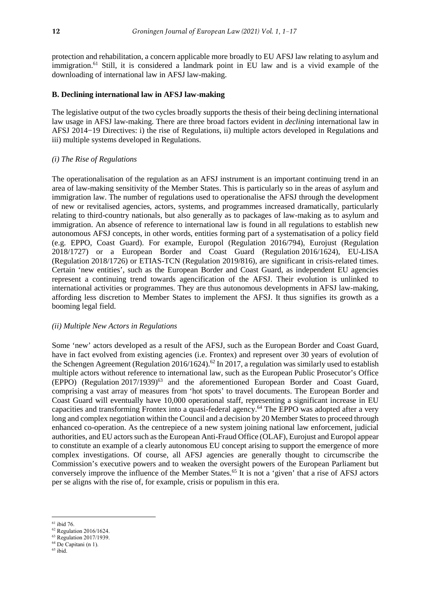protection and rehabilitation, a concern applicable more broadly to EU AFSJ law relating to asylum and immigration.<sup>61</sup> Still, it is considered a landmark point in EU law and is a vivid example of the downloading of international law in AFSJ law-making.

#### **B. Declining international law in AFSJ law-making**

The legislative output of the two cycles broadly supports the thesis of their being declining international law usage in AFSJ law-making. There are three broad factors evident in *declining* international law in AFSJ 2014−19 Directives: i) the rise of Regulations, ii) multiple actors developed in Regulations and iii) multiple systems developed in Regulations.

#### *(i) The Rise of Regulations*

The operationalisation of the regulation as an AFSJ instrument is an important continuing trend in an area of law-making sensitivity of the Member States. This is particularly so in the areas of asylum and immigration law. The number of regulations used to operationalise the AFSJ through the development of new or revitalised agencies, actors, systems, and programmes increased dramatically, particularly relating to third-country nationals, but also generally as to packages of law-making as to asylum and immigration. An absence of reference to international law is found in all regulations to establish new autonomous AFSJ concepts, in other words, entities forming part of a systematisation of a policy field (e.g. EPPO, Coast Guard). For example, Europol (Regulation 2016/794), Eurojust (Regulation 2018/1727) or a European Border and Coast Guard (Regulation 2016/1624), EU-LISA (Regulation 2018/1726) or ETIAS-TCN (Regulation 2019/816), are significant in crisis-related times. Certain 'new entities', such as the European Border and Coast Guard, as independent EU agencies represent a continuing trend towards agencification of the AFSJ. Their evolution is unlinked to international activities or programmes. They are thus autonomous developments in AFSJ law-making, affording less discretion to Member States to implement the AFSJ. It thus signifies its growth as a booming legal field.

#### *(ii) Multiple New Actors in Regulations*

Some 'new' actors developed as a result of the AFSJ, such as the European Border and Coast Guard, have in fact evolved from existing agencies (i.e. Frontex) and represent over 30 years of evolution of the Schengen Agreement (Regulation 2016/1624).<sup>62</sup> In 2017, a regulation was similarly used to establish multiple actors without reference to international law, such as the European Public Prosecutor's Office  $(EPPO)$  (Regulation 2017/1939)<sup>63</sup> and the aforementioned European Border and Coast Guard, comprising a vast array of measures from 'hot spots' to travel documents. The European Border and Coast Guard will eventually have 10,000 operational staff, representing a significant increase in EU capacities and transforming Frontex into a quasi-federal agency.<sup>64</sup> The EPPO was adopted after a very long and complex negotiation within the Council and a decision by 20 Member States to proceed through enhanced co-operation. As the centrepiece of a new system joining national law enforcement, judicial authorities, and EU actors such as the European Anti-Fraud Office (OLAF), Eurojust and Europol appear to constitute an example of a clearly autonomous EU concept arising to support the emergence of more complex investigations. Of course, all AFSJ agencies are generally thought to circumscribe the Commission's executive powers and to weaken the oversight powers of the European Parliament but conversely improve the influence of the Member States.<sup>65</sup> It is not a 'given' that a rise of AFSJ actors per se aligns with the rise of, for example, crisis or populism in this era.

 $61$  ibid 76.

<sup>62</sup> Regulation 2016/1624.

<sup>63</sup> Regulation 2017/1939. <sup>64</sup> De Capitani (n 1).

<sup>65</sup> ibid.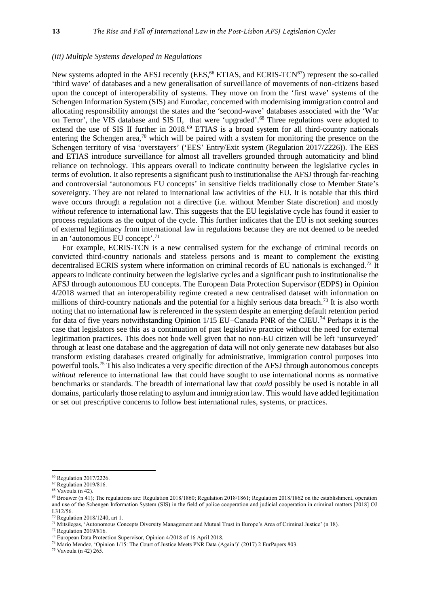#### *(iii) Multiple Systems developed in Regulations*

New systems adopted in the AFSJ recently (EES,<sup>66</sup> ETIAS, and ECRIS-TCN<sup>67</sup>) represent the so-called 'third wave' of databases and a new generalisation of surveillance of movements of non-citizens based upon the concept of interoperability of systems. They move on from the 'first wave' systems of the Schengen Information System (SIS) and Eurodac, concerned with modernising immigration control and allocating responsibility amongst the states and the 'second-wave' databases associated with the 'War on Terror', the VIS database and SIS II, that were 'upgraded'.<sup>68</sup> Three regulations were adopted to extend the use of SIS II further in 2018.<sup>69</sup> ETIAS is a broad system for all third-country nationals entering the Schengen area,<sup>70</sup> which will be paired with a system for monitoring the presence on the Schengen territory of visa 'overstayers' ('EES' Entry/Exit system (Regulation 2017/2226)). The EES and ETIAS introduce surveillance for almost all travellers grounded through automaticity and blind reliance on technology. This appears overall to indicate continuity between the legislative cycles in terms of evolution. It also represents a significant push to institutionalise the AFSJ through far-reaching and controversial 'autonomous EU concepts' in sensitive fields traditionally close to Member State's sovereignty. They are not related to international law activities of the EU. It is notable that this third wave occurs through a regulation not a directive (i.e. without Member State discretion) and mostly *without* reference to international law. This suggests that the EU legislative cycle has found it easier to process regulations as the output of the cycle. This further indicates that the EU is not seeking sources of external legitimacy from international law in regulations because they are not deemed to be needed in an 'autonomous EU concept'.<sup>71</sup>

For example, ECRIS-TCN is a new centralised system for the exchange of criminal records on convicted third-country nationals and stateless persons and is meant to complement the existing decentralised ECRIS system where information on criminal records of EU nationals is exchanged.<sup>72</sup> It appears to indicate continuity between the legislative cycles and a significant push to institutionalise the AFSJ through autonomous EU concepts. The European Data Protection Supervisor (EDPS) in Opinion 4/2018 warned that an interoperability regime created a new centralised dataset with information on millions of third-country nationals and the potential for a highly serious data breach.<sup>73</sup> It is also worth noting that no international law is referenced in the system despite an emerging default retention period for data of five years notwithstanding Opinion 1/15 EU−Canada PNR of the CJEU.<sup>74</sup> Perhaps it is the case that legislators see this as a continuation of past legislative practice without the need for external legitimation practices. This does not bode well given that no non-EU citizen will be left 'unsurveyed' through at least one database and the aggregation of data will not only generate new databases but also transform existing databases created originally for administrative, immigration control purposes into powerful tools.<sup>75</sup> This also indicates a very specific direction of the AFSJ through autonomous concepts *without* reference to international law that could have sought to use international norms as normative benchmarks or standards. The breadth of international law that *could* possibly be used is notable in all domains, particularly those relating to asylum and immigration law. This would have added legitimation or set out prescriptive concerns to follow best international rules, systems, or practices.

<u>.</u>

<sup>72</sup> Regulation 2019/816.

<sup>66</sup> Regulation 2017/2226.

<sup>67</sup> Regulation 2019/816.

 $68$  Vavoula (n 42).

 $^{69}$  Brouwer (n 41); The regulations are: Regulation 2018/1860; Regulation 2018/1861; Regulation 2018/1862 on the establishment, operation and use of the Schengen Information System (SIS) in the field of police cooperation and judicial cooperation in criminal matters [2018] OJ L312/56.

 $<sup>0</sup>$  Regulation 2018/1240, art 1.</sup>

<sup>71</sup> Mitsilegas, 'Autonomous Concepts Diversity Management and Mutual Trust in Europe's Area of Criminal Justice' (n 18).

<sup>73</sup> European Data Protection Supervisor, Opinion 4/2018 of 16 April 2018.

<sup>74</sup> Mario Mendez, 'Opinion 1/15: The Court of Justice Meets PNR Data (Again!)' (2017) 2 EurPapers 803.

<sup>75</sup> Vavoula (n 42) 265.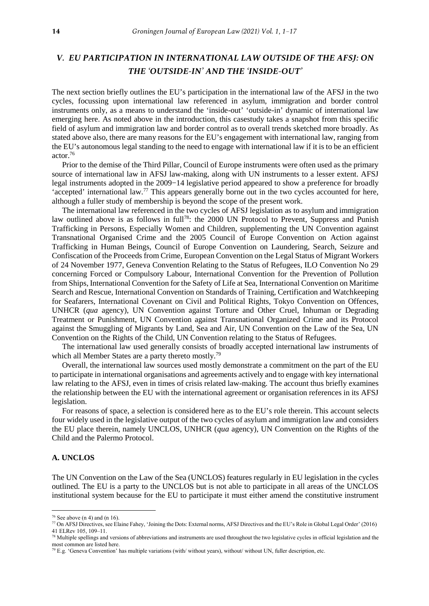## *V. EU PARTICIPATION IN INTERNATIONAL LAW OUTSIDE OF THE AFSJ: ON THE 'OUTSIDE-IN' AND THE 'INSIDE-OUT'*

The next section briefly outlines the EU's participation in the international law of the AFSJ in the two cycles, focussing upon international law referenced in asylum, immigration and border control instruments only, as a means to understand the 'inside-out' 'outside-in' dynamic of international law emerging here. As noted above in the introduction, this casestudy takes a snapshot from this specific field of asylum and immigration law and border control as to overall trends sketched more broadly. As stated above also, there are many reasons for the EU's engagement with international law, ranging from the EU's autonomous legal standing to the need to engage with international law if it is to be an efficient actor.<sup>76</sup>

Prior to the demise of the Third Pillar, Council of Europe instruments were often used as the primary source of international law in AFSJ law-making, along with UN instruments to a lesser extent. AFSJ legal instruments adopted in the 2009−14 legislative period appeared to show a preference for broadly 'accepted' international law.<sup>77</sup> This appears generally borne out in the two cycles accounted for here, although a fuller study of membership is beyond the scope of the present work.

The international law referenced in the two cycles of AFSJ legislation as to asylum and immigration law outlined above is as follows in full<sup>78</sup>: the 2000 UN Protocol to Prevent, Suppress and Punish Trafficking in Persons, Especially Women and Children, supplementing the UN Convention against Transnational Organised Crime and the 2005 Council of Europe Convention on Action against Trafficking in Human Beings, Council of Europe Convention on Laundering, Search, Seizure and Confiscation of the Proceeds from Crime, European Convention on the Legal Status of Migrant Workers of 24 November 1977, Geneva Convention Relating to the Status of Refugees, ILO Convention No 29 concerning Forced or Compulsory Labour, International Convention for the Prevention of Pollution from Ships, International Convention for the Safety of Life at Sea, International Convention on Maritime Search and Rescue, International Convention on Standards of Training, Certification and Watchkeeping for Seafarers, International Covenant on Civil and Political Rights, Tokyo Convention on Offences, UNHCR (*qua* agency), UN Convention against Torture and Other Cruel, Inhuman or Degrading Treatment or Punishment, UN Convention against Transnational Organized Crime and its Protocol against the Smuggling of Migrants by Land, Sea and Air, UN Convention on the Law of the Sea, UN Convention on the Rights of the Child, UN Convention relating to the Status of Refugees.

The international law used generally consists of broadly accepted international law instruments of which all Member States are a party thereto mostly.<sup>79</sup>

Overall, the international law sources used mostly demonstrate a commitment on the part of the EU to participate in international organisations and agreements actively and to engage with key international law relating to the AFSJ, even in times of crisis related law-making. The account thus briefly examines the relationship between the EU with the international agreement or organisation references in its AFSJ legislation.

For reasons of space, a selection is considered here as to the EU's role therein. This account selects four widely used in the legislative output of the two cycles of asylum and immigration law and considers the EU place therein, namely UNCLOS, UNHCR (*qua* agency), UN Convention on the Rights of the Child and the Palermo Protocol.

#### **A. UNCLOS**

1

The UN Convention on the Law of the Sea (UNCLOS) features regularly in EU legislation in the cycles outlined. The EU is a party to the UNCLOS but is not able to participate in all areas of the UNCLOS institutional system because for the EU to participate it must either amend the constitutive instrument

 $76$  See above (n 4) and (n 16).

<sup>77</sup> On AFSJ Directives, see Elaine Fahey, 'Joining the Dots: External norms, AFSJ Directives and the EU's Role in Global Legal Order' (2016) 41 ELRev 105, 109–11.

 $78$  Multiple spellings and versions of abbreviations and instruments are used throughout the two legislative cycles in official legislation and the most common are listed here.

 $79$  E.g. 'Geneva Convention' has multiple variations (with/ without years), without/ without UN, fuller description, etc.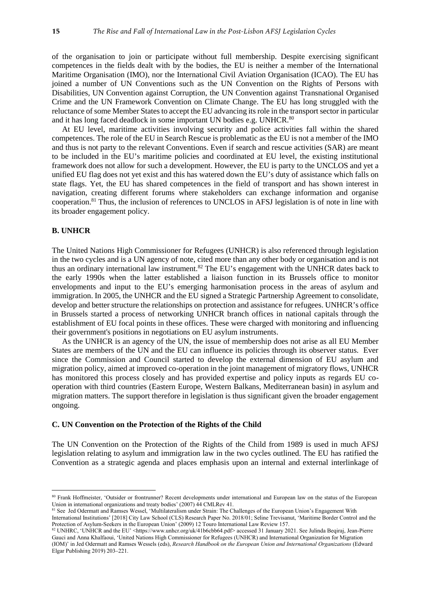of the organisation to join or participate without full membership. Despite exercising significant competences in the fields dealt with by the bodies, the EU is neither a member of the International Maritime Organisation (IMO), nor the International Civil Aviation Organisation (ICAO). The EU has joined a number of UN Conventions such as the UN Convention on the Rights of Persons with Disabilities, UN Convention against Corruption, the UN Convention against Transnational Organised Crime and the UN Framework Convention on Climate Change. The EU has long struggled with the reluctance of some Member States to accept the EU advancing its role in the transport sector in particular and it has long faced deadlock in some important UN bodies e.g. UNHCR.<sup>80</sup>

At EU level, maritime activities involving security and police activities fall within the shared competences. The role of the EU in Search Rescue is problematic as the EU is not a member of the IMO and thus is not party to the relevant Conventions. Even if search and rescue activities (SAR) are meant to be included in the EU's maritime policies and coordinated at EU level, the existing institutional framework does not allow for such a development. However, the EU is party to the UNCLOS and yet a unified EU flag does not yet exist and this has watered down the EU's duty of assistance which falls on state flags. Yet, the EU has shared competences in the field of transport and has shown interest in navigation, creating different forums where stakeholders can exchange information and organise cooperation.<sup>81</sup> Thus, the inclusion of references to UNCLOS in AFSJ legislation is of note in line with its broader engagement policy.

#### **B. UNHCR**

<u>.</u>

The United Nations High Commissioner for Refugees (UNHCR) is also referenced through legislation in the two cycles and is a UN agency of note, cited more than any other body or organisation and is not thus an ordinary international law instrument.<sup>82</sup> The EU's engagement with the UNHCR dates back to the early 1990s when the latter established a liaison function in its Brussels office to monitor envelopments and input to the EU's emerging harmonisation process in the areas of asylum and immigration. In 2005, the UNHCR and the EU signed a Strategic Partnership Agreement to consolidate, develop and better structure the relationships on protection and assistance for refugees. UNHCR's office in Brussels started a process of networking UNHCR branch offices in national capitals through the establishment of EU focal points in these offices. These were charged with monitoring and influencing their government's positions in negotiations on EU asylum instruments.

As the UNHCR is an agency of the UN, the issue of membership does not arise as all EU Member States are members of the UN and the EU can influence its policies through its observer status. Ever since the Commission and Council started to develop the external dimension of EU asylum and migration policy, aimed at improved co-operation in the joint management of migratory flows, UNHCR has monitored this process closely and has provided expertise and policy inputs as regards EU cooperation with third countries (Eastern Europe, Western Balkans, Mediterranean basin) in asylum and migration matters. The support therefore in legislation is thus significant given the broader engagement ongoing.

#### **C. UN Convention on the Protection of the Rights of the Child**

The UN Convention on the Protection of the Rights of the Child from 1989 is used in much AFSJ legislation relating to asylum and immigration law in the two cycles outlined. The EU has ratified the Convention as a strategic agenda and places emphasis upon an internal and external interlinkage of

<sup>80</sup> Frank Hoffmeister, 'Outsider or frontrunner? Recent developments under international and European law on the status of the European Union in international organizations and treaty bodies' (2007) 44 CMLRev 41.

<sup>&</sup>lt;sup>81</sup> See Jed Odermatt and Ramses Wessel, 'Multilateralism under Strain: The Challenges of the European Union's Engagement With International Institutions' [2018] City Law School (CLS) Research Paper No. 2018/01; Seline Trevisanut, 'Maritime Border Control and the Protection of Asylum-Seekers in the European Union' (2009) 12 Touro International Law Review 157.

<sup>82</sup> UNHRC, 'UNHCR and the EU' <https://www.unhcr.org/uk/41b6cbb64.pdf> accessed 31 January 2021. See Julinda Beqiraj, Jean-Pierre Gauci and Anna Khalfaoui, 'United Nations High Commissioner for Refugees (UNHCR) and International Organization for Migration (IOM)' in Jed Odermatt and Ramses Wessels (eds), *Research Handbook on the European Union and International Organizations* (Edward Elgar Publishing 2019) 203⎼221.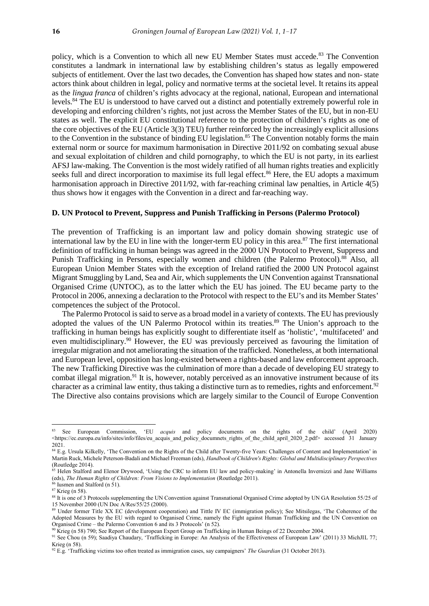policy, which is a Convention to which all new EU Member States must accede.<sup>83</sup> The Convention constitutes a landmark in international law by establishing children's status as legally empowered subjects of entitlement. Over the last two decades, the Convention has shaped how states and non- state actors think about children in legal, policy and normative terms at the societal level. It retains its appeal as the *lingua franca* of children's rights advocacy at the regional, national, European and international levels.<sup>84</sup> The EU is understood to have carved out a distinct and potentially extremely powerful role in developing and enforcing children's rights, not just across the Member States of the EU, but in non-EU states as well. The explicit EU constitutional reference to the protection of children's rights as one of the core objectives of the EU (Article 3(3) TEU) further reinforced by the increasingly explicit allusions to the Convention in the substance of binding EU legislation.<sup>85</sup> The Convention notably forms the main external norm or source for maximum harmonisation in Directive 2011/92 on combating sexual abuse and sexual exploitation of children and child pornography, to which the EU is not party, in its earliest AFSJ law-making. The Convention is the most widely ratified of all human rights treaties and explicitly seeks full and direct incorporation to maximise its full legal effect.<sup>86</sup> Here, the EU adopts a maximum harmonisation approach in Directive 2011/92, with far-reaching criminal law penalties, in Article 4(5) thus shows how it engages with the Convention in a direct and far-reaching way.

#### **D. UN Protocol to Prevent, Suppress and Punish Trafficking in Persons (Palermo Protocol)**

The prevention of Trafficking is an important law and policy domain showing strategic use of international law by the EU in line with the longer-term EU policy in this area.<sup>87</sup> The first international definition of trafficking in human beings was agreed in the 2000 UN Protocol to Prevent, Suppress and Punish Trafficking in Persons, especially women and children (the Palermo Protocol).<sup>88</sup> Also, all European Union Member States with the exception of Ireland ratified the 2000 UN Protocol against Migrant Smuggling by Land, Sea and Air, which supplements the UN Convention against Transnational Organised Crime (UNTOC), as to the latter which the EU has joined. The EU became party to the Protocol in 2006, annexing a declaration to the Protocol with respect to the EU's and its Member States' competences the subject of the Protocol.

The Palermo Protocol is said to serve as a broad model in a variety of contexts. The EU has previously adopted the values of the UN Palermo Protocol within its treaties.<sup>89</sup> The Union's approach to the trafficking in human beings has explicitly sought to differentiate itself as 'holistic', 'multifaceted' and even multidisciplinary.<sup>90</sup> However, the EU was previously perceived as favouring the limitation of irregular migration and not ameliorating the situation of the trafficked. Nonetheless, at both international and European level, opposition has long-existed between a rights-based and law enforcement approach. The new Trafficking Directive was the culmination of more than a decade of developing EU strategy to combat illegal migration.<sup>91</sup> It is, however, notably perceived as an innovative instrument because of its character as a criminal law entity, thus taking a distinctive turn as to remedies, rights and enforcement.<sup>92</sup> The Directive also contains provisions which are largely similar to the Council of Europe Convention

<sup>83</sup> See European Commission, 'EU *acquis* and policy documents on the rights of the child' (April 2020)  $\lt$ https://ec.europa.eu/info/sites/info/files/eu\_acquis\_and\_policy\_documnets\_rights\_of\_the\_child\_april\_2020\_2.pdf>\_accessed 31 January 2021.

<sup>84</sup> E.g. Ursula Kilkelly, 'The Convention on the Rights of the Child after Twenty-five Years: Challenges of Content and Implementation' in Martin Ruck, Michele Peterson-Badali and Michael Freeman (eds), *Handbook of Children's Rights: Global and Multidisciplinary Perspectives* (Routledge 2014).

<sup>&</sup>lt;sup>85</sup> Helen Stalford and Elenor Drywood, 'Using the CRC to inform EU law and policy-making' in Antonella Invernizzi and Jane Williams (eds), *The Human Rights of Children: From Visions to Implementation* (Routledge 2011).

Iusmen and Stalford  $(n 51)$ .

<sup>87</sup> Krieg (n 58).

<sup>88</sup> It is one of 3 Protocols supplementing the UN Convention against Transnational Organised Crime adopted by UN GA Resolution 55/25 of 15 November 2000 (UN Doc A/Res/55/25 (2000).

<sup>89</sup> Under former Title XX EC (development cooperation) and Tittle IV EC (immigration policy); See Mitsilegas, 'The Coherence of the Adopted Measures by the EU with regard to Organised Crime, namely the Fight against Human Trafficking and the UN Convention on Organised Crime – the Palermo Convention 6 and its 3 Protocols' (n 52).

<sup>90</sup> Krieg (n 58) 790; See Report of the European Expert Group on Trafficking in Human Beings of 22 December 2004.

<sup>&</sup>lt;sup>91</sup> See Chou (n 59); Saadiya Chaudary, 'Trafficking in Europe: An Analysis of the Effectiveness of European Law' (2011) 33 MichJIL 77; Krieg (n 58).

<sup>92</sup> E.g. 'Trafficking victims too often treated as immigration cases, say campaigners' *The Guardian* (31 October 2013).